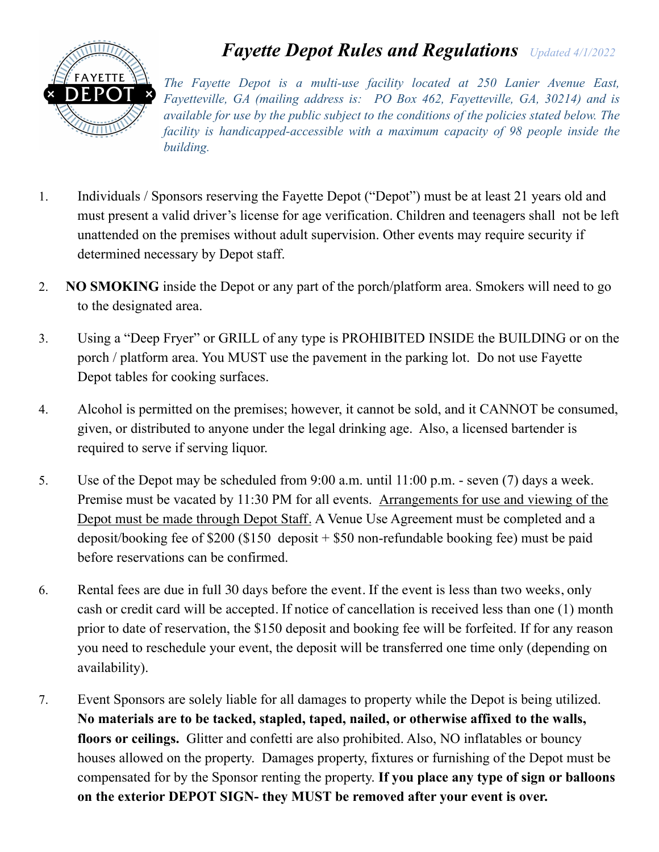

## *Fayette Depot Rules and Regulations Updated 4/1/2022*

*The Fayette Depot is a multi-use facility located at 250 Lanier Avenue East, Fayetteville, GA (mailing address is: PO Box 462, Fayetteville, GA, 30214) and is available for use by the public subject to the conditions of the policies stated below. The facility is handicapped-accessible with a maximum capacity of 98 people inside the building.*

- 1. Individuals / Sponsors reserving the Fayette Depot ("Depot") must be at least 21 years old and must present a valid driver's license for age verification. Children and teenagers shall not be left unattended on the premises without adult supervision. Other events may require security if determined necessary by Depot staff.
- 2. **NO SMOKING** inside the Depot or any part of the porch/platform area. Smokers will need to go to the designated area.
- 3. Using a "Deep Fryer" or GRILL of any type is PROHIBITED INSIDE the BUILDING or on the porch / platform area. You MUST use the pavement in the parking lot. Do not use Fayette Depot tables for cooking surfaces.
- 4. Alcohol is permitted on the premises; however, it cannot be sold, and it CANNOT be consumed, given, or distributed to anyone under the legal drinking age. Also, a licensed bartender is required to serve if serving liquor.
- 5. Use of the Depot may be scheduled from 9:00 a.m. until 11:00 p.m. seven (7) days a week. Premise must be vacated by 11:30 PM for all events. Arrangements for use and viewing of the Depot must be made through Depot Staff. A Venue Use Agreement must be completed and a deposit/booking fee of \$200 (\$150 deposit + \$50 non-refundable booking fee) must be paid before reservations can be confirmed.
- 6. Rental fees are due in full 30 days before the event. If the event is less than two weeks, only cash or credit card will be accepted. If notice of cancellation is received less than one (1) month prior to date of reservation, the \$150 deposit and booking fee will be forfeited. If for any reason you need to reschedule your event, the deposit will be transferred one time only (depending on availability).
- 7. Event Sponsors are solely liable for all damages to property while the Depot is being utilized. **No materials are to be tacked, stapled, taped, nailed, or otherwise affixed to the walls, floors or ceilings.** Glitter and confetti are also prohibited. Also, NO inflatables or bouncy houses allowed on the property. Damages property, fixtures or furnishing of the Depot must be compensated for by the Sponsor renting the property. **If you place any type of sign or balloons on the exterior DEPOT SIGN- they MUST be removed after your event is over.**